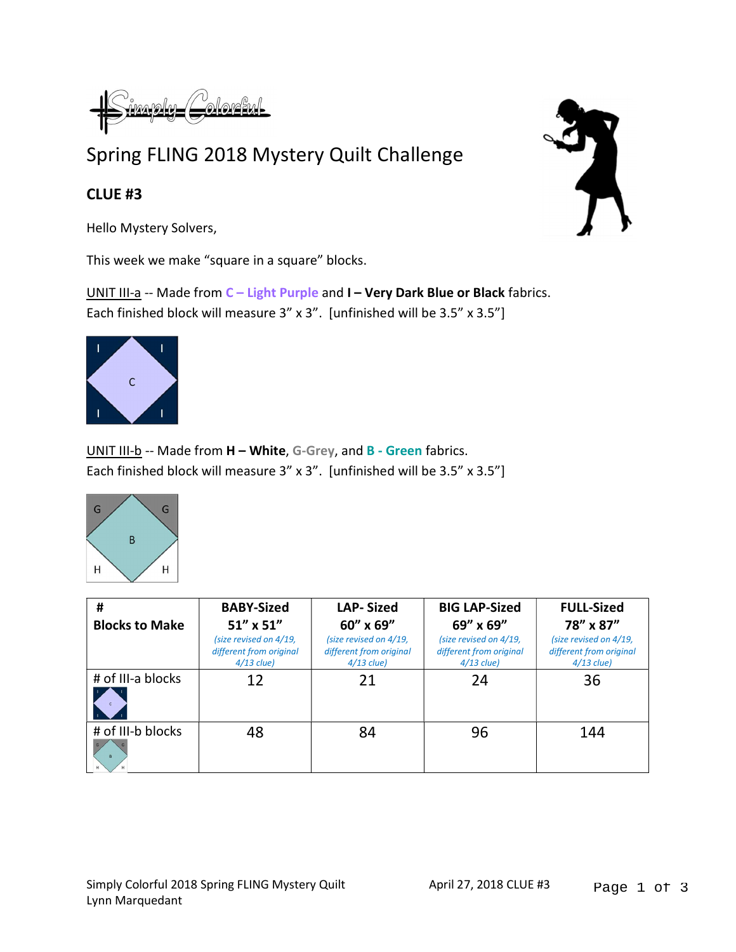## Spring FLING 2018 Mystery Quilt Challenge

## CLUE #3

Hello Mystery Solvers,

This week we make "square in a square" blocks.

UNIT III-a -- Made from C - Light Purple and I - Very Dark Blue or Black fabrics. Each finished block will measure 3" x 3". [unfinished will be 3.5" x 3.5"]



UNIT III-b -- Made from H - White, G-Grey, and B - Green fabrics. Each finished block will measure 3" x 3". [unfinished will be 3.5" x 3.5"]



| #                     | <b>BABY-Sized</b>                                                 | <b>LAP-Sized</b>                                                  | <b>BIG LAP-Sized</b>                                              | <b>FULL-Sized</b>                                                 |
|-----------------------|-------------------------------------------------------------------|-------------------------------------------------------------------|-------------------------------------------------------------------|-------------------------------------------------------------------|
| <b>Blocks to Make</b> | 51" x 51"                                                         | 60" x 69"                                                         | 69" x 69"                                                         | 78" x 87"                                                         |
|                       | (size revised on 4/19,<br>different from original<br>$4/13$ clue) | (size revised on 4/19,<br>different from original<br>$4/13$ clue) | (size revised on 4/19,<br>different from original<br>$4/13$ clue) | (size revised on 4/19,<br>different from original<br>$4/13$ clue) |
| # of III-a blocks     | 12                                                                | 21                                                                | 24                                                                | 36                                                                |
| # of III-b blocks     | 48                                                                | 84                                                                | 96                                                                | 144                                                               |

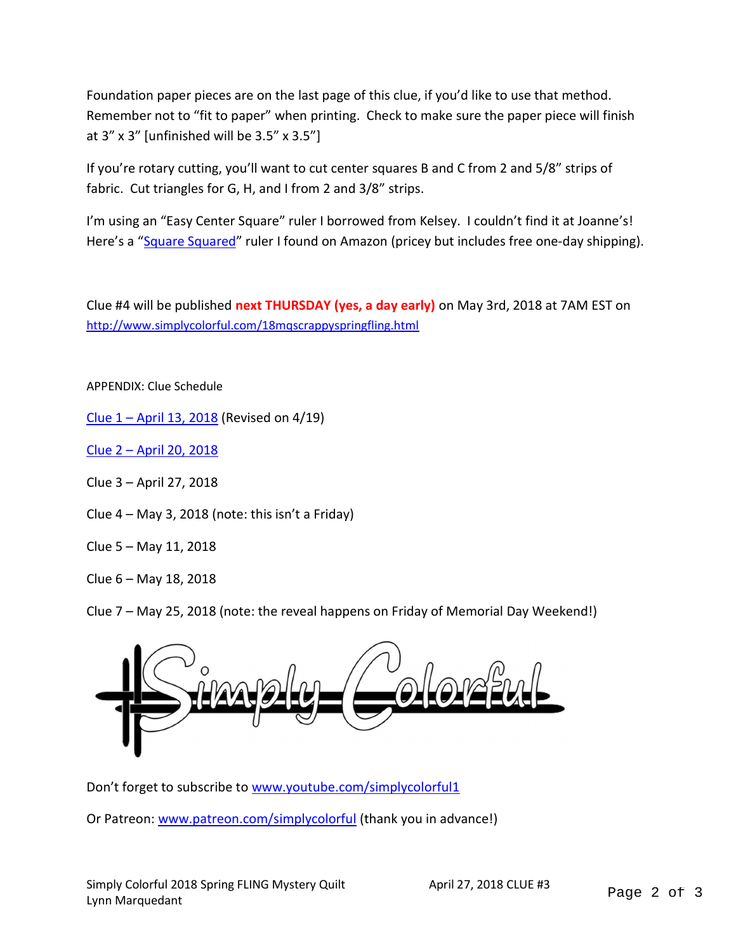Foundation paper pieces are on the last page of this clue, if you'd like to use that method. Remember not to "fit to paper" when printing. Check to make sure the paper piece will finish at  $3''$  x  $3''$  [unfinished will be  $3.5''$  x  $3.5''$ ]

If you're rotary cutting, you'll want to cut center squares B and C from 2 and 5/8" strips of fabric. Cut triangles for G, H, and I from 2 and 3/8" strips.

I'm using an "Easy Center Square" ruler I borrowed from Kelsey. I couldn't find it at Joanne's! Here's a "Square Squared" ruler I found on Amazon (pricey but includes free one-day shipping).

Clue #4 will be published next THURSDAY (yes, a day early) on May 3rd, 2018 at 7AM EST on http://www.simplycolorful.com/18mqscrappyspringfling.html

APPENDIX: Clue Schedule

Clue 1 – April 13, 2018 (Revised on 4/19)

Clue 2 – April 20, 2018

Clue 3 – April 27, 2018

Clue  $4 - May 3$ , 2018 (note: this isn't a Friday)

Clue 5 – May 11, 2018

Clue 6 – May 18, 2018

Clue 7 – May 25, 2018 (note: the reveal happens on Friday of Memorial Day Weekend!)



Don't forget to subscribe to www.youtube.com/simplycolorful1

Or Patreon: www.patreon.com/simplycolorful (thank you in advance!)